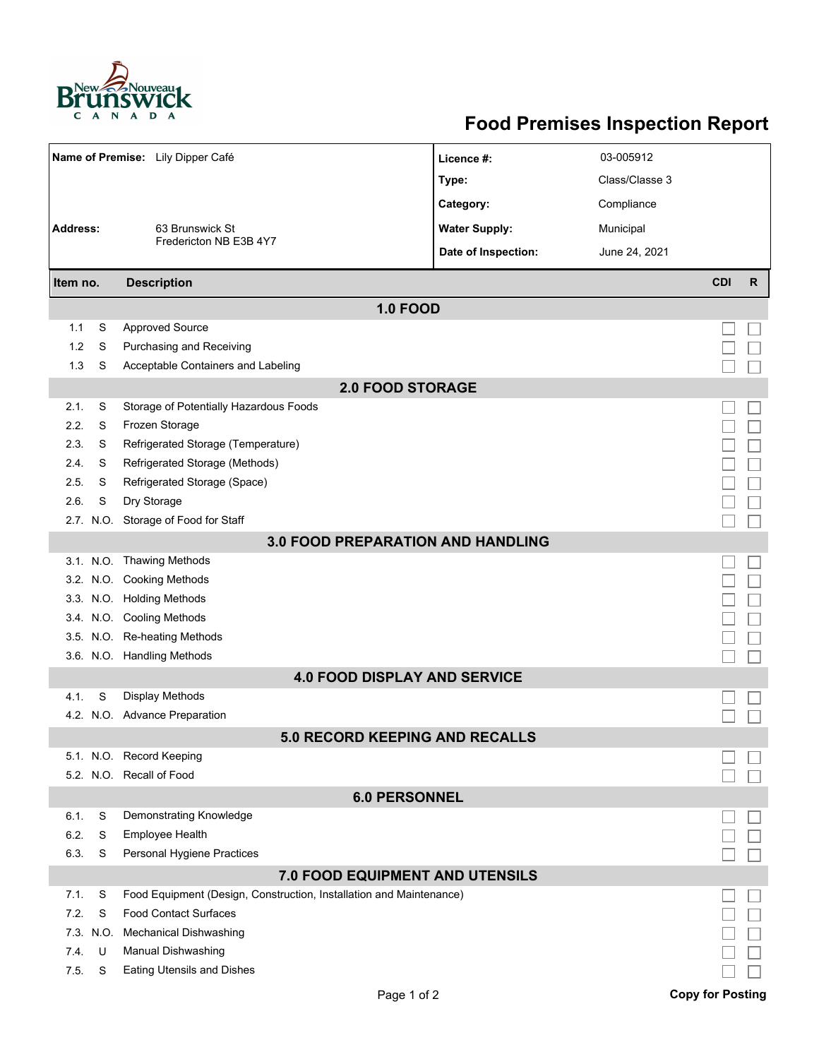

## **Food Premises Inspection Report**

| Name of Premise: Lily Dipper Café        |      |                                                                     | Licence #:           | 03-005912      |                         |    |  |  |  |  |
|------------------------------------------|------|---------------------------------------------------------------------|----------------------|----------------|-------------------------|----|--|--|--|--|
|                                          |      |                                                                     | Type:                | Class/Classe 3 |                         |    |  |  |  |  |
|                                          |      | 63 Brunswick St                                                     | Category:            | Compliance     |                         |    |  |  |  |  |
| <b>Address:</b>                          |      |                                                                     | <b>Water Supply:</b> | Municipal      |                         |    |  |  |  |  |
|                                          |      | Fredericton NB E3B 4Y7                                              | Date of Inspection:  | June 24, 2021  |                         |    |  |  |  |  |
| Item no.                                 |      | <b>Description</b>                                                  |                      |                | <b>CDI</b>              | R. |  |  |  |  |
|                                          |      |                                                                     |                      |                |                         |    |  |  |  |  |
| 1.1                                      | S    | <b>1.0 FOOD</b><br><b>Approved Source</b>                           |                      |                |                         |    |  |  |  |  |
| 1.2                                      | S    | Purchasing and Receiving                                            |                      |                |                         |    |  |  |  |  |
| 1.3                                      | S    | Acceptable Containers and Labeling                                  |                      |                |                         |    |  |  |  |  |
|                                          |      | <b>2.0 FOOD STORAGE</b>                                             |                      |                |                         |    |  |  |  |  |
| 2.1.                                     | S    | Storage of Potentially Hazardous Foods                              |                      |                |                         |    |  |  |  |  |
| 2.2.                                     | S    | Frozen Storage                                                      |                      |                |                         |    |  |  |  |  |
| 2.3.                                     | S    | Refrigerated Storage (Temperature)                                  |                      |                |                         |    |  |  |  |  |
| 2.4.                                     | S    | Refrigerated Storage (Methods)                                      |                      |                |                         |    |  |  |  |  |
| 2.5.                                     | S    | Refrigerated Storage (Space)                                        |                      |                |                         |    |  |  |  |  |
| 2.6.                                     | S    | Dry Storage                                                         |                      |                |                         |    |  |  |  |  |
|                                          |      | 2.7. N.O. Storage of Food for Staff                                 |                      |                |                         |    |  |  |  |  |
| <b>3.0 FOOD PREPARATION AND HANDLING</b> |      |                                                                     |                      |                |                         |    |  |  |  |  |
|                                          |      | 3.1. N.O. Thawing Methods                                           |                      |                |                         |    |  |  |  |  |
|                                          |      | 3.2. N.O. Cooking Methods                                           |                      |                |                         |    |  |  |  |  |
|                                          |      | 3.3. N.O. Holding Methods                                           |                      |                |                         |    |  |  |  |  |
|                                          |      | 3.4. N.O. Cooling Methods                                           |                      |                |                         |    |  |  |  |  |
|                                          |      | 3.5. N.O. Re-heating Methods                                        |                      |                |                         |    |  |  |  |  |
|                                          |      | 3.6. N.O. Handling Methods                                          |                      |                |                         |    |  |  |  |  |
| <b>4.0 FOOD DISPLAY AND SERVICE</b>      |      |                                                                     |                      |                |                         |    |  |  |  |  |
| 4.1.                                     | S    | Display Methods                                                     |                      |                |                         |    |  |  |  |  |
|                                          |      | 4.2. N.O. Advance Preparation                                       |                      |                |                         |    |  |  |  |  |
| <b>5.0 RECORD KEEPING AND RECALLS</b>    |      |                                                                     |                      |                |                         |    |  |  |  |  |
|                                          |      | 5.1. N.O. Record Keeping                                            |                      |                |                         |    |  |  |  |  |
|                                          |      | 5.2. N.O. Recall of Food                                            |                      |                |                         |    |  |  |  |  |
| <b>6.0 PERSONNEL</b>                     |      |                                                                     |                      |                |                         |    |  |  |  |  |
| 6.1.                                     | S    | Demonstrating Knowledge                                             |                      |                |                         |    |  |  |  |  |
| 6.2.                                     | S    | Employee Health                                                     |                      |                |                         |    |  |  |  |  |
| 6.3.                                     | S    | Personal Hygiene Practices                                          |                      |                |                         |    |  |  |  |  |
| <b>7.0 FOOD EQUIPMENT AND UTENSILS</b>   |      |                                                                     |                      |                |                         |    |  |  |  |  |
| 7.1.                                     | S    | Food Equipment (Design, Construction, Installation and Maintenance) |                      |                |                         |    |  |  |  |  |
| 7.2.                                     | S    | <b>Food Contact Surfaces</b>                                        |                      |                |                         |    |  |  |  |  |
| 7.3.                                     | N.O. | <b>Mechanical Dishwashing</b>                                       |                      |                |                         |    |  |  |  |  |
| 7.4.                                     | U    | Manual Dishwashing                                                  |                      |                |                         |    |  |  |  |  |
| 7.5.                                     | S    | <b>Eating Utensils and Dishes</b>                                   |                      |                |                         |    |  |  |  |  |
|                                          |      | Page 1 of 2                                                         |                      |                | <b>Copy for Posting</b> |    |  |  |  |  |